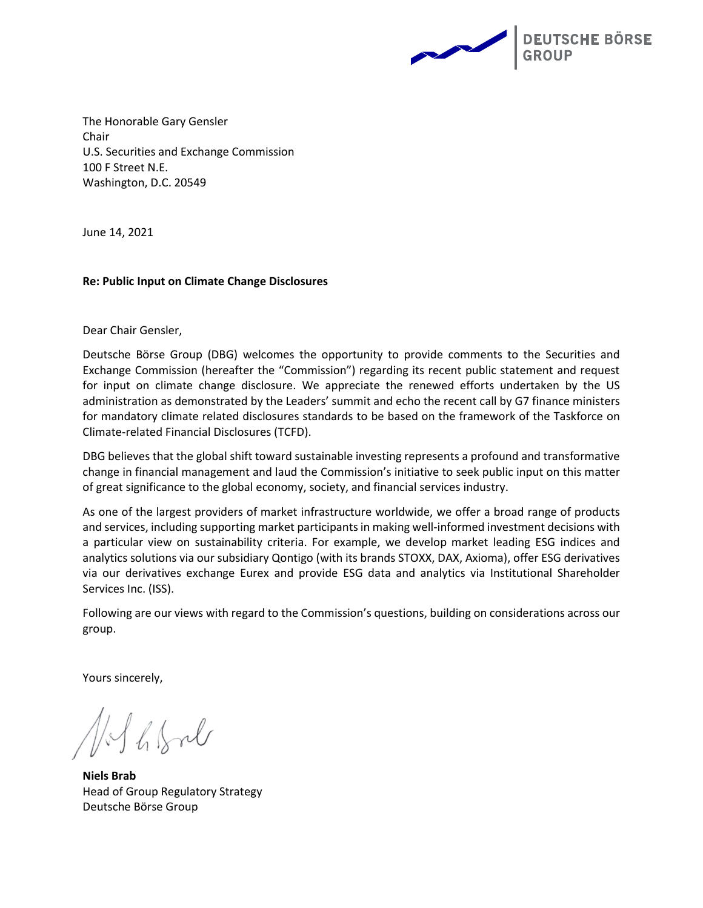

The Honorable Gary Gensler Chair U.S. Securities and Exchange Commission 100 F Street N.E. Washington, D.C. 20549

June 14, 2021

#### **Re: Public Input on Climate Change Disclosures**

Dear Chair Gensler,

Deutsche Börse Group (DBG) welcomes the opportunity to provide comments to the Securities and Exchange Commission (hereafter the "Commission") regarding its recent public statement and request for input on climate change disclosure. We appreciate the renewed efforts undertaken by the US administration as demonstrated by the Leaders' summit and echo the recent call by G7 finance ministers for mandatory climate related disclosures standards to be based on the framework of the Taskforce on Climate-related Financial Disclosures (TCFD).

DBG believes that the global shift toward sustainable investing represents a profound and transformative change in financial management and laud the Commission's initiative to seek public input on this matter of great significance to the global economy, society, and financial services industry.

As one of the largest providers of market infrastructure worldwide, we offer a broad range of products and services, including supporting market participants in making well-informed investment decisions with a particular view on sustainability criteria. For example, we develop market leading ESG indices and analytics solutions via our subsidiary Qontigo (with its brands STOXX, DAX, Axioma), offer ESG derivatives via our derivatives exchange Eurex and provide ESG data and analytics via Institutional Shareholder Services Inc. (ISS).

Following are our views with regard to the Commission's questions, building on considerations across our group.

Yours sincerely,

hfol

**Niels Brab** Head of Group Regulatory Strategy Deutsche Börse Group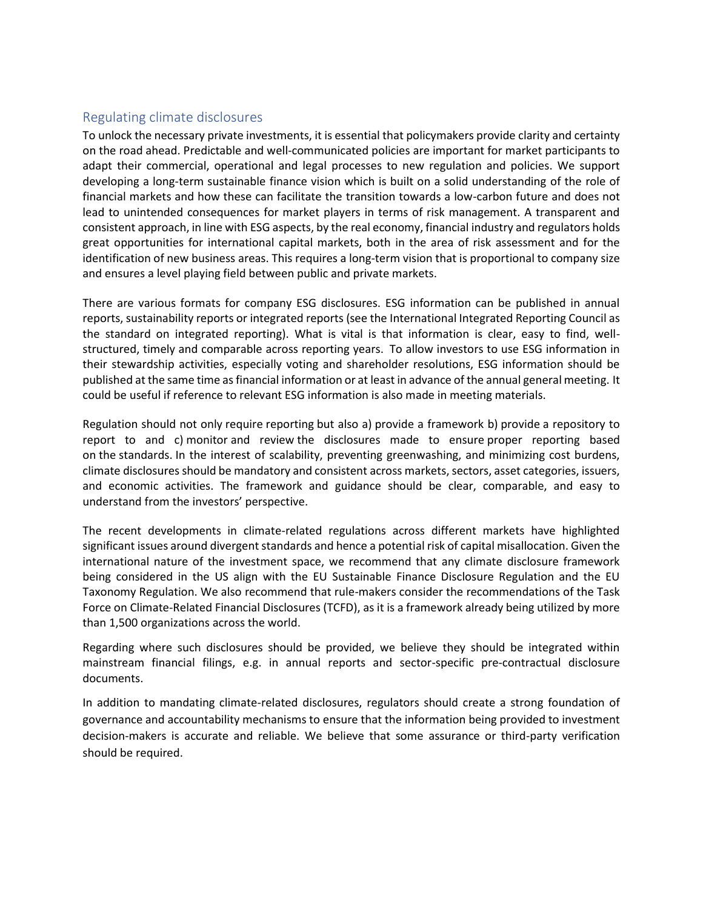# Regulating climate disclosures

To unlock the necessary private investments, it is essential that policymakers provide clarity and certainty on the road ahead. Predictable and well-communicated policies are important for market participants to adapt their commercial, operational and legal processes to new regulation and policies. We support developing a long-term sustainable finance vision which is built on a solid understanding of the role of financial markets and how these can facilitate the transition towards a low-carbon future and does not lead to unintended consequences for market players in terms of risk management. A transparent and consistent approach, in line with ESG aspects, by the real economy, financial industry and regulators holds great opportunities for international capital markets, both in the area of risk assessment and for the identification of new business areas. This requires a long-term vision that is proportional to company size and ensures a level playing field between public and private markets.

There are various formats for company ESG disclosures. ESG information can be published in annual reports, sustainability reports or integrated reports (see the International Integrated Reporting Council as the standard on integrated reporting). What is vital is that information is clear, easy to find, wellstructured, timely and comparable across reporting years. To allow investors to use ESG information in their stewardship activities, especially voting and shareholder resolutions, ESG information should be published at the same time as financial information or at least in advance of the annual general meeting. It could be useful if reference to relevant ESG information is also made in meeting materials.

Regulation should not only require reporting but also a) provide a framework b) provide a repository to report to and c) monitor and review the disclosures made to ensure proper reporting based on the standards. In the interest of scalability, preventing greenwashing, and minimizing cost burdens, climate disclosures should be mandatory and consistent across markets, sectors, asset categories, issuers, and economic activities. The framework and guidance should be clear, comparable, and easy to understand from the investors' perspective.

The recent developments in climate-related regulations across different markets have highlighted significant issues around divergent standards and hence a potential risk of capital misallocation. Given the international nature of the investment space, we recommend that any climate disclosure framework being considered in the US align with the EU Sustainable Finance Disclosure Regulation and the EU Taxonomy Regulation. We also recommend that rule-makers consider the recommendations of the Task Force on Climate-Related Financial Disclosures (TCFD), as it is a framework already being utilized by more than 1,500 organizations across the world.

Regarding where such disclosures should be provided, we believe they should be integrated within mainstream financial filings, e.g. in annual reports and sector-specific pre-contractual disclosure documents.

In addition to mandating climate-related disclosures, regulators should create a strong foundation of governance and accountability mechanisms to ensure that the information being provided to investment decision-makers is accurate and reliable. We believe that some assurance or third-party verification should be required.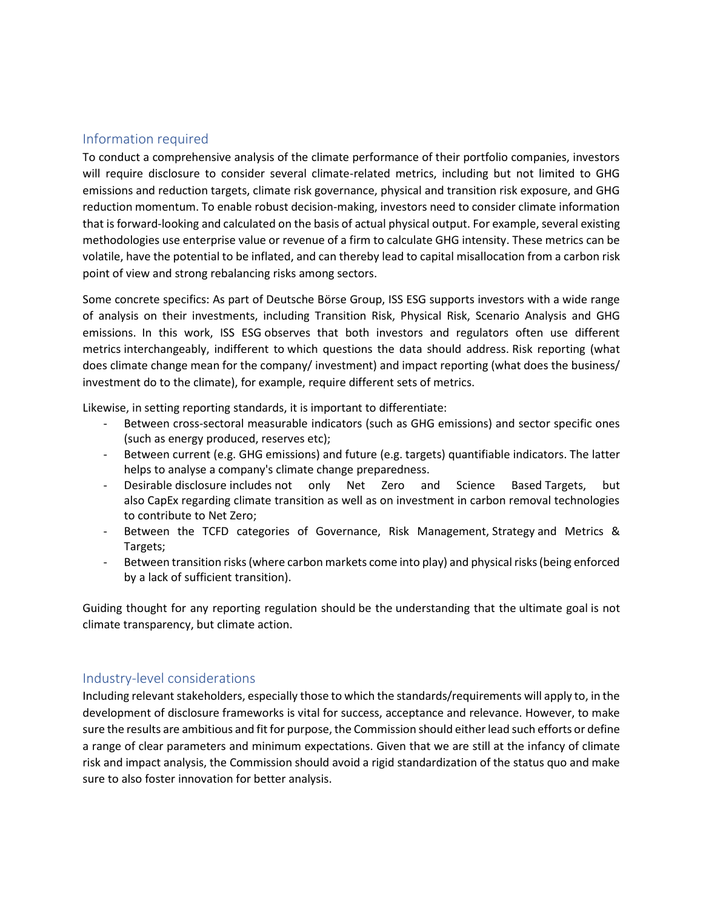# Information required

To conduct a comprehensive analysis of the climate performance of their portfolio companies, investors will require disclosure to consider several climate-related metrics, including but not limited to GHG emissions and reduction targets, climate risk governance, physical and transition risk exposure, and GHG reduction momentum. To enable robust decision-making, investors need to consider climate information that is forward-looking and calculated on the basis of actual physical output. For example, several existing methodologies use enterprise value or revenue of a firm to calculate GHG intensity. These metrics can be volatile, have the potential to be inflated, and can thereby lead to capital misallocation from a carbon risk point of view and strong rebalancing risks among sectors.

Some concrete specifics: As part of Deutsche Börse Group, ISS ESG supports investors with a wide range of analysis on their investments, including Transition Risk, Physical Risk, Scenario Analysis and GHG emissions. In this work, ISS ESG observes that both investors and regulators often use different metrics interchangeably, indifferent to which questions the data should address. Risk reporting (what does climate change mean for the company/ investment) and impact reporting (what does the business/ investment do to the climate), for example, require different sets of metrics.

Likewise, in setting reporting standards, it is important to differentiate:

- Between cross-sectoral measurable indicators (such as GHG emissions) and sector specific ones (such as energy produced, reserves etc);
- Between current (e.g. GHG emissions) and future (e.g. targets) quantifiable indicators. The latter helps to analyse a company's climate change preparedness.
- Desirable disclosure includes not only Net Zero and Science Based Targets, but also CapEx regarding climate transition as well as on investment in carbon removal technologies to contribute to Net Zero;
- Between the TCFD categories of Governance, Risk Management, Strategy and Metrics & Targets;
- Between transition risks (where carbon markets come into play) and physical risks (being enforced by a lack of sufficient transition).

Guiding thought for any reporting regulation should be the understanding that the ultimate goal is not climate transparency, but climate action.

### Industry-level considerations

Including relevant stakeholders, especially those to which the standards/requirements will apply to, in the development of disclosure frameworks is vital for success, acceptance and relevance. However, to make sure the results are ambitious and fit for purpose, the Commission should either lead such efforts or define a range of clear parameters and minimum expectations. Given that we are still at the infancy of climate risk and impact analysis, the Commission should avoid a rigid standardization of the status quo and make sure to also foster innovation for better analysis.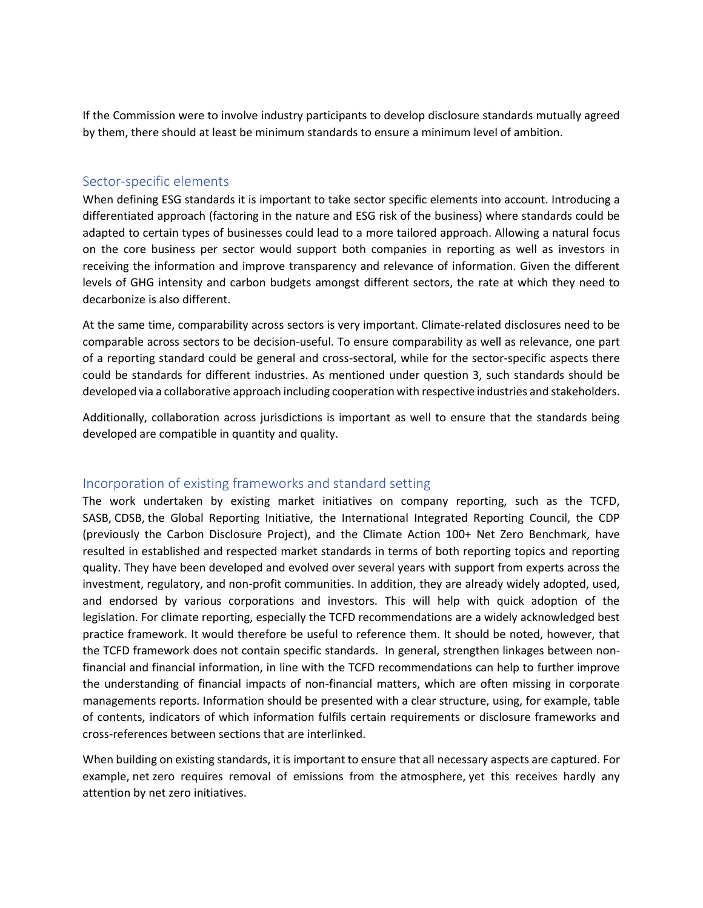If the Commission were to involve industry participants to develop disclosure standards mutually agreed by them, there should at least be minimum standards to ensure a minimum level of ambition.

### Sector-specific elements

When defining ESG standards it is important to take sector specific elements into account. Introducing a differentiated approach (factoring in the nature and ESG risk of the business) where standards could be adapted to certain types of businesses could lead to a more tailored approach. Allowing a natural focus on the core business per sector would support both companies in reporting as well as investors in receiving the information and improve transparency and relevance of information. Given the different levels of GHG intensity and carbon budgets amongst different sectors, the rate at which they need to decarbonize is also different.

At the same time, comparability across sectors is very important. Climate-related disclosures need to be comparable across sectors to be decision-useful. To ensure comparability as well as relevance, one part of a reporting standard could be general and cross-sectoral, while for the sector-specific aspects there could be standards for different industries. As mentioned under question 3, such standards should be developed via a collaborative approach including cooperation with respective industries and stakeholders.

Additionally, collaboration across jurisdictions is important as well to ensure that the standards being developed are compatible in quantity and quality.

### Incorporation of existing frameworks and standard setting

The work undertaken by existing market initiatives on company reporting, such as the TCFD, SASB, CDSB, the Global Reporting Initiative, the International Integrated Reporting Council, the CDP (previously the Carbon Disclosure Project), and the Climate Action 100+ Net Zero Benchmark, have resulted in established and respected market standards in terms of both reporting topics and reporting quality. They have been developed and evolved over several years with support from experts across the investment, regulatory, and non-profit communities. In addition, they are already widely adopted, used, and endorsed by various corporations and investors. This will help with quick adoption of the legislation. For climate reporting, especially the TCFD recommendations are a widely acknowledged best practice framework. It would therefore be useful to reference them. It should be noted, however, that the TCFD framework does not contain specific standards. In general, strengthen linkages between nonfinancial and financial information, in line with the TCFD recommendations can help to further improve the understanding of financial impacts of non-financial matters, which are often missing in corporate managements reports. Information should be presented with a clear structure, using, for example, table of contents, indicators of which information fulfils certain requirements or disclosure frameworks and cross-references between sections that are interlinked.

When building on existing standards, it is important to ensure that all necessary aspects are captured. For example, net zero requires removal of emissions from the atmosphere, yet this receives hardly any attention by net zero initiatives.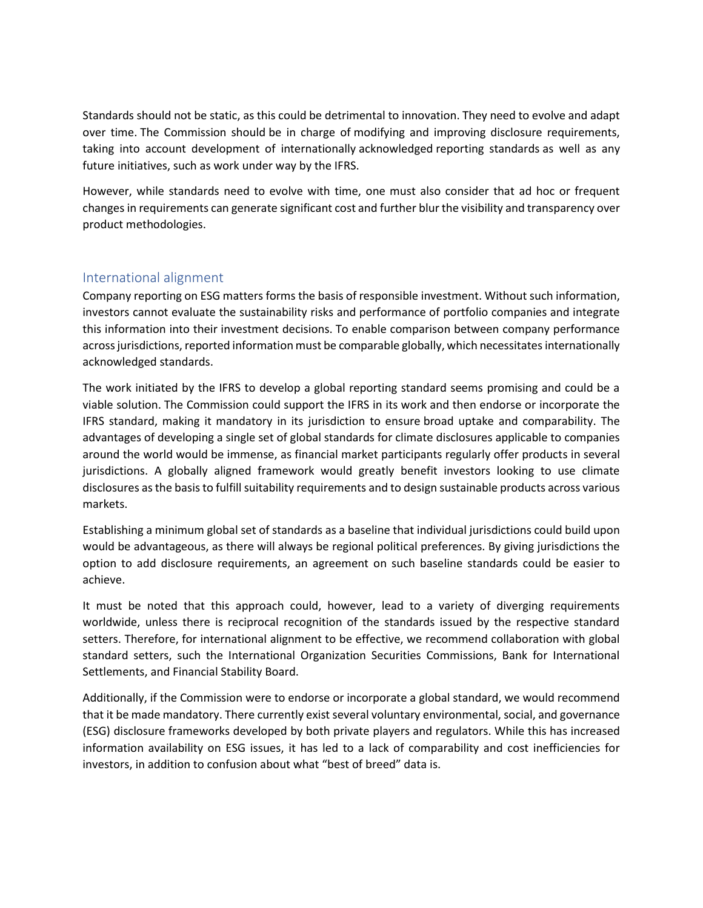Standards should not be static, as this could be detrimental to innovation. They need to evolve and adapt over time. The Commission should be in charge of modifying and improving disclosure requirements, taking into account development of internationally acknowledged reporting standards as well as any future initiatives, such as work under way by the IFRS.

However, while standards need to evolve with time, one must also consider that ad hoc or frequent changes in requirements can generate significant cost and further blur the visibility and transparency over product methodologies.

# International alignment

Company reporting on ESG matters forms the basis of responsible investment. Without such information, investors cannot evaluate the sustainability risks and performance of portfolio companies and integrate this information into their investment decisions. To enable comparison between company performance across jurisdictions, reported information must be comparable globally, which necessitates internationally acknowledged standards.

The work initiated by the IFRS to develop a global reporting standard seems promising and could be a viable solution. The Commission could support the IFRS in its work and then endorse or incorporate the IFRS standard, making it mandatory in its jurisdiction to ensure broad uptake and comparability. The advantages of developing a single set of global standards for climate disclosures applicable to companies around the world would be immense, as financial market participants regularly offer products in several jurisdictions. A globally aligned framework would greatly benefit investors looking to use climate disclosures as the basis to fulfill suitability requirements and to design sustainable products across various markets.

Establishing a minimum global set of standards as a baseline that individual jurisdictions could build upon would be advantageous, as there will always be regional political preferences. By giving jurisdictions the option to add disclosure requirements, an agreement on such baseline standards could be easier to achieve.

It must be noted that this approach could, however, lead to a variety of diverging requirements worldwide, unless there is reciprocal recognition of the standards issued by the respective standard setters. Therefore, for international alignment to be effective, we recommend collaboration with global standard setters, such the International Organization Securities Commissions, Bank for International Settlements, and Financial Stability Board.

Additionally, if the Commission were to endorse or incorporate a global standard, we would recommend that it be made mandatory. There currently exist several voluntary environmental, social, and governance (ESG) disclosure frameworks developed by both private players and regulators. While this has increased information availability on ESG issues, it has led to a lack of comparability and cost inefficiencies for investors, in addition to confusion about what "best of breed" data is.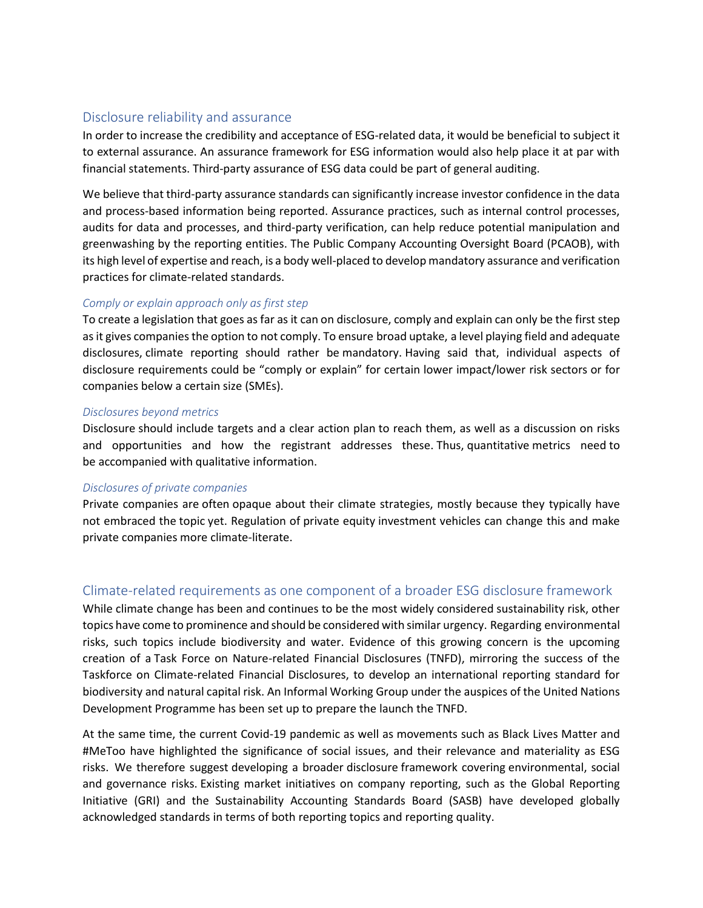## Disclosure reliability and assurance

In order to increase the credibility and acceptance of ESG-related data, it would be beneficial to subject it to external assurance. An assurance framework for ESG information would also help place it at par with financial statements. Third-party assurance of ESG data could be part of general auditing.

We believe that third-party assurance standards can significantly increase investor confidence in the data and process-based information being reported. Assurance practices, such as internal control processes, audits for data and processes, and third-party verification, can help reduce potential manipulation and greenwashing by the reporting entities. The Public Company Accounting Oversight Board (PCAOB), with its high level of expertise and reach, is a body well-placed to develop mandatory assurance and verification practices for climate-related standards.

### *Comply or explain approach only as first step*

To create a legislation that goes as far as it can on disclosure, comply and explain can only be the first step as it gives companies the option to not comply. To ensure broad uptake, a level playing field and adequate disclosures, climate reporting should rather be mandatory. Having said that, individual aspects of disclosure requirements could be "comply or explain" for certain lower impact/lower risk sectors or for companies below a certain size (SMEs).

#### *Disclosures beyond metrics*

Disclosure should include targets and a clear action plan to reach them, as well as a discussion on risks and opportunities and how the registrant addresses these. Thus, quantitative metrics need to be accompanied with qualitative information.

#### *Disclosures of private companies*

Private companies are often opaque about their climate strategies, mostly because they typically have not embraced the topic yet. Regulation of private equity investment vehicles can change this and make private companies more climate-literate.

# Climate-related requirements as one component of a broader ESG disclosure framework

While climate change has been and continues to be the most widely considered sustainability risk, other topics have come to prominence and should be considered with similar urgency. Regarding environmental risks, such topics include biodiversity and water. Evidence of this growing concern is the upcoming creation of a Task Force on Nature-related Financial Disclosures (TNFD), mirroring the success of the Taskforce on Climate-related Financial Disclosures, to develop an international reporting standard for biodiversity and natural capital risk. An Informal Working Group under the auspices of the United Nations Development Programme has been set up to prepare the launch the TNFD.

At the same time, the current Covid-19 pandemic as well as movements such as Black Lives Matter and #MeToo have highlighted the significance of social issues, and their relevance and materiality as ESG risks. We therefore suggest developing a broader disclosure framework covering environmental, social and governance risks. Existing market initiatives on company reporting, such as the Global Reporting Initiative (GRI) and the Sustainability Accounting Standards Board (SASB) have developed globally acknowledged standards in terms of both reporting topics and reporting quality.